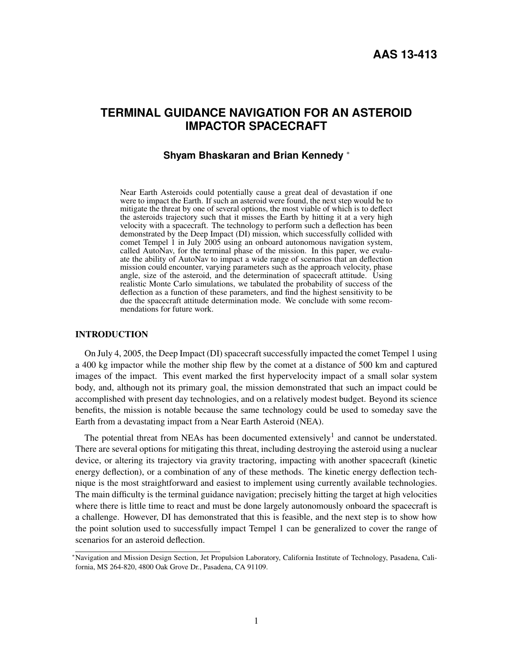# **TERMINAL GUIDANCE NAVIGATION FOR AN ASTEROID IMPACTOR SPACECRAFT**

# **Shyam Bhaskaran and Brian Kennedy** <sup>∗</sup>

Near Earth Asteroids could potentially cause a great deal of devastation if one were to impact the Earth. If such an asteroid were found, the next step would be to mitigate the threat by one of several options, the most viable of which is to deflect the asteroids trajectory such that it misses the Earth by hitting it at a very high velocity with a spacecraft. The technology to perform such a deflection has been demonstrated by the Deep Impact (DI) mission, which successfully collided with comet Tempel 1 in July 2005 using an onboard autonomous navigation system, called AutoNav, for the terminal phase of the mission. In this paper, we evaluate the ability of AutoNav to impact a wide range of scenarios that an deflection mission could encounter, varying parameters such as the approach velocity, phase angle, size of the asteroid, and the determination of spacecraft attitude. Using realistic Monte Carlo simulations, we tabulated the probability of success of the deflection as a function of these parameters, and find the highest sensitivity to be due the spacecraft attitude determination mode. We conclude with some recommendations for future work.

# INTRODUCTION

On July 4, 2005, the Deep Impact (DI) spacecraft successfully impacted the comet Tempel 1 using a 400 kg impactor while the mother ship flew by the comet at a distance of 500 km and captured images of the impact. This event marked the first hypervelocity impact of a small solar system body, and, although not its primary goal, the mission demonstrated that such an impact could be accomplished with present day technologies, and on a relatively modest budget. Beyond its science benefits, the mission is notable because the same technology could be used to someday save the Earth from a devastating impact from a Near Earth Asteroid (NEA).

The potential threat from NEAs has been documented extensively<sup>[1](#page-16-0)</sup> and cannot be understated. There are several options for mitigating this threat, including destroying the asteroid using a nuclear device, or altering its trajectory via gravity tractoring, impacting with another spacecraft (kinetic energy deflection), or a combination of any of these methods. The kinetic energy deflection technique is the most straightforward and easiest to implement using currently available technologies. The main difficulty is the terminal guidance navigation; precisely hitting the target at high velocities where there is little time to react and must be done largely autonomously onboard the spacecraft is a challenge. However, DI has demonstrated that this is feasible, and the next step is to show how the point solution used to successfully impact Tempel 1 can be generalized to cover the range of scenarios for an asteroid deflection.

<sup>∗</sup>Navigation and Mission Design Section, Jet Propulsion Laboratory, California Institute of Technology, Pasadena, California, MS 264-820, 4800 Oak Grove Dr., Pasadena, CA 91109.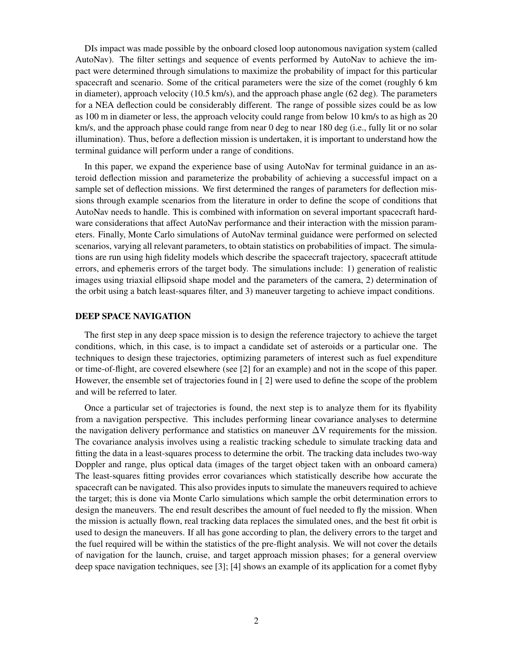DIs impact was made possible by the onboard closed loop autonomous navigation system (called AutoNav). The filter settings and sequence of events performed by AutoNav to achieve the impact were determined through simulations to maximize the probability of impact for this particular spacecraft and scenario. Some of the critical parameters were the size of the comet (roughly 6 km in diameter), approach velocity (10.5 km/s), and the approach phase angle (62 deg). The parameters for a NEA deflection could be considerably different. The range of possible sizes could be as low as 100 m in diameter or less, the approach velocity could range from below 10 km/s to as high as 20 km/s, and the approach phase could range from near 0 deg to near 180 deg (i.e., fully lit or no solar illumination). Thus, before a deflection mission is undertaken, it is important to understand how the terminal guidance will perform under a range of conditions.

In this paper, we expand the experience base of using AutoNav for terminal guidance in an asteroid deflection mission and parameterize the probability of achieving a successful impact on a sample set of deflection missions. We first determined the ranges of parameters for deflection missions through example scenarios from the literature in order to define the scope of conditions that AutoNav needs to handle. This is combined with information on several important spacecraft hardware considerations that affect AutoNav performance and their interaction with the mission parameters. Finally, Monte Carlo simulations of AutoNav terminal guidance were performed on selected scenarios, varying all relevant parameters, to obtain statistics on probabilities of impact. The simulations are run using high fidelity models which describe the spacecraft trajectory, spacecraft attitude errors, and ephemeris errors of the target body. The simulations include: 1) generation of realistic images using triaxial ellipsoid shape model and the parameters of the camera, 2) determination of the orbit using a batch least-squares filter, and 3) maneuver targeting to achieve impact conditions.

# DEEP SPACE NAVIGATION

The first step in any deep space mission is to design the reference trajectory to achieve the target conditions, which, in this case, is to impact a candidate set of asteroids or a particular one. The techniques to design these trajectories, optimizing parameters of interest such as fuel expenditure or time-of-flight, are covered elsewhere (see [\[2\]](#page-16-1) for an example) and not in the scope of this paper. However, the ensemble set of trajectories found in [ [2\]](#page-16-1) were used to define the scope of the problem and will be referred to later.

Once a particular set of trajectories is found, the next step is to analyze them for its flyability from a navigation perspective. This includes performing linear covariance analyses to determine the navigation delivery performance and statistics on maneuver  $\Delta V$  requirements for the mission. The covariance analysis involves using a realistic tracking schedule to simulate tracking data and fitting the data in a least-squares process to determine the orbit. The tracking data includes two-way Doppler and range, plus optical data (images of the target object taken with an onboard camera) The least-squares fitting provides error covariances which statistically describe how accurate the spacecraft can be navigated. This also provides inputs to simulate the maneuvers required to achieve the target; this is done via Monte Carlo simulations which sample the orbit determination errors to design the maneuvers. The end result describes the amount of fuel needed to fly the mission. When the mission is actually flown, real tracking data replaces the simulated ones, and the best fit orbit is used to design the maneuvers. If all has gone according to plan, the delivery errors to the target and the fuel required will be within the statistics of the pre-flight analysis. We will not cover the details of navigation for the launch, cruise, and target approach mission phases; for a general overview deep space navigation techniques, see [\[3\]](#page-16-2); [\[4\]](#page-16-3) shows an example of its application for a comet flyby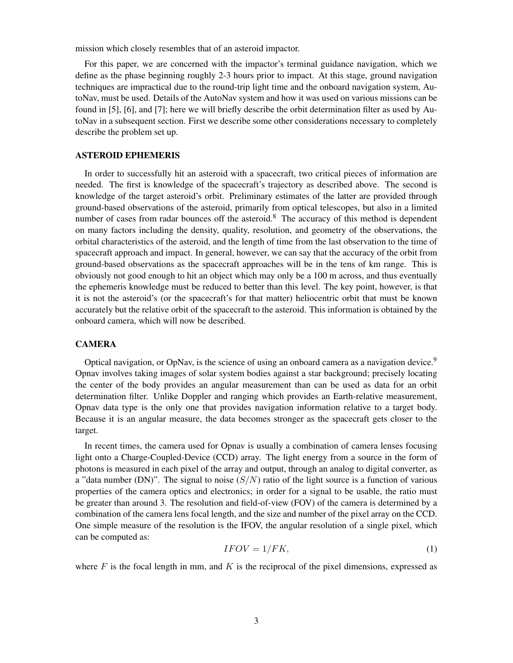mission which closely resembles that of an asteroid impactor.

For this paper, we are concerned with the impactor's terminal guidance navigation, which we define as the phase beginning roughly 2-3 hours prior to impact. At this stage, ground navigation techniques are impractical due to the round-trip light time and the onboard navigation system, AutoNav, must be used. Details of the AutoNav system and how it was used on various missions can be found in [\[5\]](#page-16-4), [\[6\]](#page-16-5), and [\[7\]](#page-16-6); here we will briefly describe the orbit determination filter as used by AutoNav in a subsequent section. First we describe some other considerations necessary to completely describe the problem set up.

# ASTEROID EPHEMERIS

In order to successfully hit an asteroid with a spacecraft, two critical pieces of information are needed. The first is knowledge of the spacecraft's trajectory as described above. The second is knowledge of the target asteroid's orbit. Preliminary estimates of the latter are provided through ground-based observations of the asteroid, primarily from optical telescopes, but also in a limited number of cases from radar bounces off the asteroid.<sup>[8](#page-16-7)</sup> The accuracy of this method is dependent on many factors including the density, quality, resolution, and geometry of the observations, the orbital characteristics of the asteroid, and the length of time from the last observation to the time of spacecraft approach and impact. In general, however, we can say that the accuracy of the orbit from ground-based observations as the spacecraft approaches will be in the tens of km range. This is obviously not good enough to hit an object which may only be a 100 m across, and thus eventually the ephemeris knowledge must be reduced to better than this level. The key point, however, is that it is not the asteroid's (or the spacecraft's for that matter) heliocentric orbit that must be known accurately but the relative orbit of the spacecraft to the asteroid. This information is obtained by the onboard camera, which will now be described.

# CAMERA

Optical navigation, or OpNav, is the science of using an onboard camera as a navigation device.<sup>[9](#page-16-8)</sup> Opnav involves taking images of solar system bodies against a star background; precisely locating the center of the body provides an angular measurement than can be used as data for an orbit determination filter. Unlike Doppler and ranging which provides an Earth-relative measurement, Opnav data type is the only one that provides navigation information relative to a target body. Because it is an angular measure, the data becomes stronger as the spacecraft gets closer to the target.

In recent times, the camera used for Opnav is usually a combination of camera lenses focusing light onto a Charge-Coupled-Device (CCD) array. The light energy from a source in the form of photons is measured in each pixel of the array and output, through an analog to digital converter, as a "data number (DN)". The signal to noise  $(S/N)$  ratio of the light source is a function of various properties of the camera optics and electronics; in order for a signal to be usable, the ratio must be greater than around 3. The resolution and field-of-view (FOV) of the camera is determined by a combination of the camera lens focal length, and the size and number of the pixel array on the CCD. One simple measure of the resolution is the IFOV, the angular resolution of a single pixel, which can be computed as:

$$
IFOV = 1/FK, \t(1)
$$

where  $F$  is the focal length in mm, and  $K$  is the reciprocal of the pixel dimensions, expressed as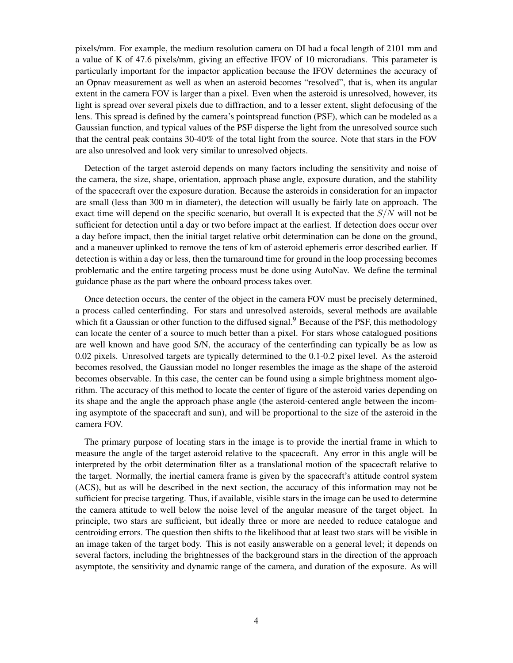pixels/mm. For example, the medium resolution camera on DI had a focal length of 2101 mm and a value of K of 47.6 pixels/mm, giving an effective IFOV of 10 microradians. This parameter is particularly important for the impactor application because the IFOV determines the accuracy of an Opnav measurement as well as when an asteroid becomes "resolved", that is, when its angular extent in the camera FOV is larger than a pixel. Even when the asteroid is unresolved, however, its light is spread over several pixels due to diffraction, and to a lesser extent, slight defocusing of the lens. This spread is defined by the camera's pointspread function (PSF), which can be modeled as a Gaussian function, and typical values of the PSF disperse the light from the unresolved source such that the central peak contains 30-40% of the total light from the source. Note that stars in the FOV are also unresolved and look very similar to unresolved objects.

Detection of the target asteroid depends on many factors including the sensitivity and noise of the camera, the size, shape, orientation, approach phase angle, exposure duration, and the stability of the spacecraft over the exposure duration. Because the asteroids in consideration for an impactor are small (less than 300 m in diameter), the detection will usually be fairly late on approach. The exact time will depend on the specific scenario, but overall It is expected that the  $S/N$  will not be sufficient for detection until a day or two before impact at the earliest. If detection does occur over a day before impact, then the initial target relative orbit determination can be done on the ground, and a maneuver uplinked to remove the tens of km of asteroid ephemeris error described earlier. If detection is within a day or less, then the turnaround time for ground in the loop processing becomes problematic and the entire targeting process must be done using AutoNav. We define the terminal guidance phase as the part where the onboard process takes over.

Once detection occurs, the center of the object in the camera FOV must be precisely determined, a process called centerfinding. For stars and unresolved asteroids, several methods are available which fit a Gaussian or other function to the diffused signal.<sup>[9](#page-16-8)</sup> Because of the PSF, this methodology can locate the center of a source to much better than a pixel. For stars whose catalogued positions are well known and have good S/N, the accuracy of the centerfinding can typically be as low as 0.02 pixels. Unresolved targets are typically determined to the 0.1-0.2 pixel level. As the asteroid becomes resolved, the Gaussian model no longer resembles the image as the shape of the asteroid becomes observable. In this case, the center can be found using a simple brightness moment algorithm. The accuracy of this method to locate the center of figure of the asteroid varies depending on its shape and the angle the approach phase angle (the asteroid-centered angle between the incoming asymptote of the spacecraft and sun), and will be proportional to the size of the asteroid in the camera FOV.

The primary purpose of locating stars in the image is to provide the inertial frame in which to measure the angle of the target asteroid relative to the spacecraft. Any error in this angle will be interpreted by the orbit determination filter as a translational motion of the spacecraft relative to the target. Normally, the inertial camera frame is given by the spacecraft's attitude control system (ACS), but as will be described in the next section, the accuracy of this information may not be sufficient for precise targeting. Thus, if available, visible stars in the image can be used to determine the camera attitude to well below the noise level of the angular measure of the target object. In principle, two stars are sufficient, but ideally three or more are needed to reduce catalogue and centroiding errors. The question then shifts to the likelihood that at least two stars will be visible in an image taken of the target body. This is not easily answerable on a general level; it depends on several factors, including the brightnesses of the background stars in the direction of the approach asymptote, the sensitivity and dynamic range of the camera, and duration of the exposure. As will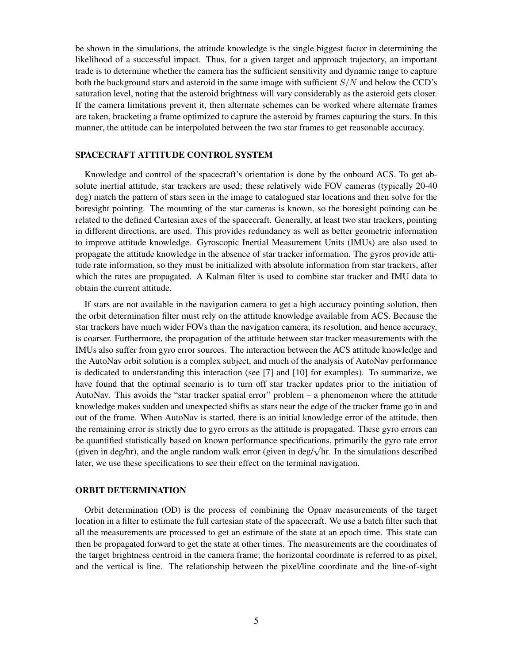be shown in the simulations, the attitude knowledge is the single biggest factor in determining the likelihood of a successful impact. Thus, for a given target and approach trajectory, an important trade is to determine whether the camera has the sufficient sensitivity and dynamic range to capture both the background stars and asteroid in the same image with sufficient  $S/N$  and below the CCD's saturation level, noting that the asteroid brightness will vary considerably as the asteroid gets closer. If the camera limitations prevent it, then alternate schemes can be worked where alternate frames are taken, bracketing a frame optimized to capture the asteroid by frames capturing the stars. In this manner, the attitude can be interpolated between the two star frames to get reasonable accuracy.

# SPACECRAFT ATTITUDE CONTROL SYSTEM

Knowledge and control of the spacecraft's orientation is done by the onboard ACS. To get absolute inertial attitude, star trackers are used; these relatively wide FOV cameras (typically 20-40 deg) match the pattern of stars seen in the image to catalogued star locations and then solve for the boresight pointing. The mounting of the star cameras is known, so the boresight pointing can be related to the defined Cartesian axes of the spacecraft. Generally, at least two star trackers, pointing in different directions, are used. This provides redundancy as well as better geometric information to improve attitude knowledge. Gyroscopic Inertial Measurement Units (IMUs) are also used to propagate the attitude knowledge in the absence of star tracker information. The gyros provide attitude rate information, so they must be initialized with absolute information from star trackers, after which the rates are propagated. A Kalman filter is used to combine star tracker and IMU data to obtain the current attitude.

If stars are not available in the navigation camera to get a high accuracy pointing solution, then the orbit determination filter must rely on the attitude knowledge available from ACS. Because the star trackers have much wider FOVs than the navigation camera, its resolution, and hence accuracy, is coarser. Furthermore, the propagation of the attitude between star tracker measurements with the IMUs also suffer from gyro error sources. The interaction between the ACS attitude knowledge and the AutoNav orbit solution is a complex subject, and much of the analysis of AutoNav performance is dedicated to understanding this interaction (see [\[7\]](#page-16-6) and [\[10\]](#page-16-9) for examples). To summarize, we have found that the optimal scenario is to turn off star tracker updates prior to the initiation of AutoNav. This avoids the "star tracker spatial error" problem – a phenomenon where the attitude knowledge makes sudden and unexpected shifts as stars near the edge of the tracker frame go in and out of the frame. When AutoNav is started, there is an initial knowledge error of the attitude, then the remaining error is strictly due to gyro errors as the attitude is propagated. These gyro errors can be quantified statistically based on known performance specifications, primarily the gyro rate error be quantified statistically based on known performance specifications, primarify the gyro rate error (given in deg/√hr), and the angle random walk error (given in deg/√hr). later, we use these specifications to see their effect on the terminal navigation.

# ORBIT DETERMINATION

Orbit determination (OD) is the process of combining the Opnav measurements of the target location in a filter to estimate the full cartesian state of the spacecraft. We use a batch filter such that all the measurements are processed to get an estimate of the state at an epoch time. This state can then be propagated forward to get the state at other times. The measurements are the coordinates of the target brightness centroid in the camera frame; the horizontal coordinate is referred to as pixel, and the vertical is line. The relationship between the pixel/line coordinate and the line-of-sight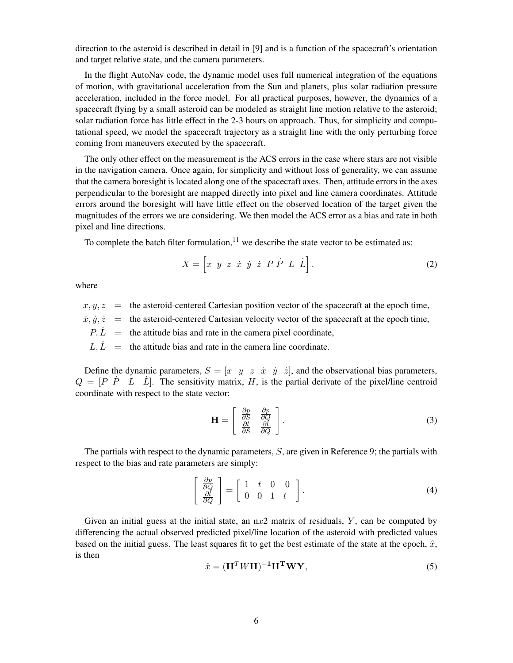direction to the asteroid is described in detail in [\[9\]](#page-16-8) and is a function of the spacecraft's orientation and target relative state, and the camera parameters.

In the flight AutoNav code, the dynamic model uses full numerical integration of the equations of motion, with gravitational acceleration from the Sun and planets, plus solar radiation pressure acceleration, included in the force model. For all practical purposes, however, the dynamics of a spacecraft flying by a small asteroid can be modeled as straight line motion relative to the asteroid; solar radiation force has little effect in the 2-3 hours on approach. Thus, for simplicity and computational speed, we model the spacecraft trajectory as a straight line with the only perturbing force coming from maneuvers executed by the spacecraft.

The only other effect on the measurement is the ACS errors in the case where stars are not visible in the navigation camera. Once again, for simplicity and without loss of generality, we can assume that the camera boresight is located along one of the spacecraft axes. Then, attitude errors in the axes perpendicular to the boresight are mapped directly into pixel and line camera coordinates. Attitude errors around the boresight will have little effect on the observed location of the target given the magnitudes of the errors we are considering. We then model the ACS error as a bias and rate in both pixel and line directions.

To complete the batch filter formulation, $11$  we describe the state vector to be estimated as:

$$
X = \left[ x \ y \ z \ \dot{x} \ \dot{y} \ \dot{z} \ P \ \dot{P} \ L \ \dot{L} \right]. \tag{2}
$$

where

 $x, y, z =$  the asteroid-centered Cartesian position vector of the spacecraft at the epoch time,

 $\dot{x}, \dot{y}, \dot{z}$  = the asteroid-centered Cartesian velocity vector of the spacecraft at the epoch time,

 $P, \dot{L}$  = the attitude bias and rate in the camera pixel coordinate,

 $L, \dot{L}$  = the attitude bias and rate in the camera line coordinate.

Define the dynamic parameters,  $S = \begin{bmatrix} x & y & z & \dot{x} & \dot{y} & \dot{z} \end{bmatrix}$ , and the observational bias parameters,  $Q = [P \dot{P} \dot{L} \dot{L}]$ . The sensitivity matrix, H, is the partial derivate of the pixel/line centroid coordinate with respect to the state vector:

$$
\mathbf{H} = \begin{bmatrix} \frac{\partial p}{\partial S} & \frac{\partial p}{\partial Q} \\ \frac{\partial l}{\partial S} & \frac{\partial l}{\partial Q} \end{bmatrix}.
$$
 (3)

The partials with respect to the dynamic parameters, S, are given in Reference [9;](#page-16-8) the partials with respect to the bias and rate parameters are simply:

$$
\begin{bmatrix}\n\frac{\partial p}{\partial Q} \\
\frac{\partial l}{\partial Q}\n\end{bmatrix} = \begin{bmatrix}\n1 & t & 0 & 0 \\
0 & 0 & 1 & t\n\end{bmatrix}.
$$
\n(4)

Given an initial guess at the initial state, an  $\eta x^2$  matrix of residuals, Y, can be computed by differencing the actual observed predicted pixel/line location of the asteroid with predicted values based on the initial guess. The least squares fit to get the best estimate of the state at the epoch,  $\hat{x}$ , is then

$$
\hat{x} = (\mathbf{H}^T W \mathbf{H})^{-1} \mathbf{H}^T \mathbf{W} \mathbf{Y},\tag{5}
$$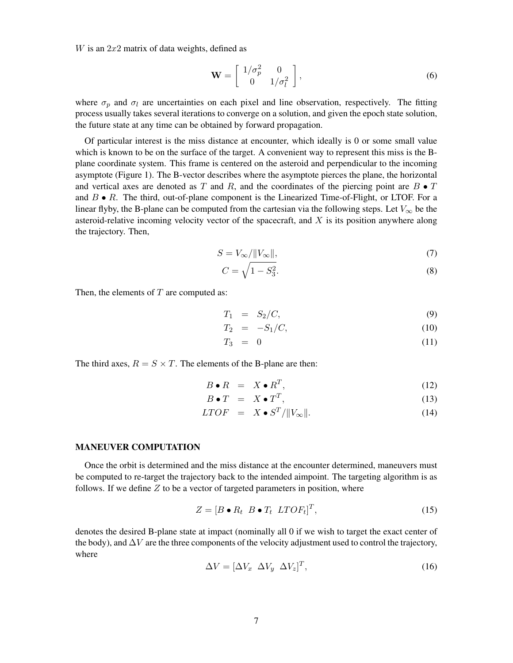W is an  $2x2$  matrix of data weights, defined as

$$
\mathbf{W} = \begin{bmatrix} 1/\sigma_p^2 & 0\\ 0 & 1/\sigma_l^2 \end{bmatrix},
$$
 (6)

where  $\sigma_p$  and  $\sigma_l$  are uncertainties on each pixel and line observation, respectively. The fitting process usually takes several iterations to converge on a solution, and given the epoch state solution, the future state at any time can be obtained by forward propagation.

Of particular interest is the miss distance at encounter, which ideally is 0 or some small value which is known to be on the surface of the target. A convenient way to represent this miss is the Bplane coordinate system. This frame is centered on the asteroid and perpendicular to the incoming asymptote (Figure [1\)](#page-7-0). The B-vector describes where the asymptote pierces the plane, the horizontal and vertical axes are denoted as T and R, and the coordinates of the piercing point are  $B \cdot T$ and  $B \bullet R$ . The third, out-of-plane component is the Linearized Time-of-Flight, or LTOF. For a linear flyby, the B-plane can be computed from the cartesian via the following steps. Let  $V_{\infty}$  be the asteroid-relative incoming velocity vector of the spacecraft, and  $X$  is its position anywhere along the trajectory. Then,

$$
S = V_{\infty}/\|V_{\infty}\|,\tag{7}
$$

$$
C = \sqrt{1 - S_3^2}.\tag{8}
$$

Then, the elements of  $T$  are computed as:

$$
T_1 = S_2/C, \tag{9}
$$

$$
T_2 = -S_1/C,\tag{10}
$$

$$
T_3 = 0 \tag{11}
$$

The third axes,  $R = S \times T$ . The elements of the B-plane are then:

$$
B \bullet R = X \bullet R^T, \tag{12}
$$

$$
B \bullet T = X \bullet T^T, \tag{13}
$$

$$
LTOF = X \bullet S^T / ||V_{\infty}||. \tag{14}
$$

# MANEUVER COMPUTATION

Once the orbit is determined and the miss distance at the encounter determined, maneuvers must be computed to re-target the trajectory back to the intended aimpoint. The targeting algorithm is as follows. If we define  $Z$  to be a vector of targeted parameters in position, where

$$
Z = [B \bullet R_t \ B \bullet T_t \ LTOF_t]^T, \qquad (15)
$$

denotes the desired B-plane state at impact (nominally all 0 if we wish to target the exact center of the body), and  $\Delta V$  are the three components of the velocity adjustment used to control the trajectory, where

$$
\Delta V = [\Delta V_x \ \Delta V_y \ \Delta V_z]^T,\tag{16}
$$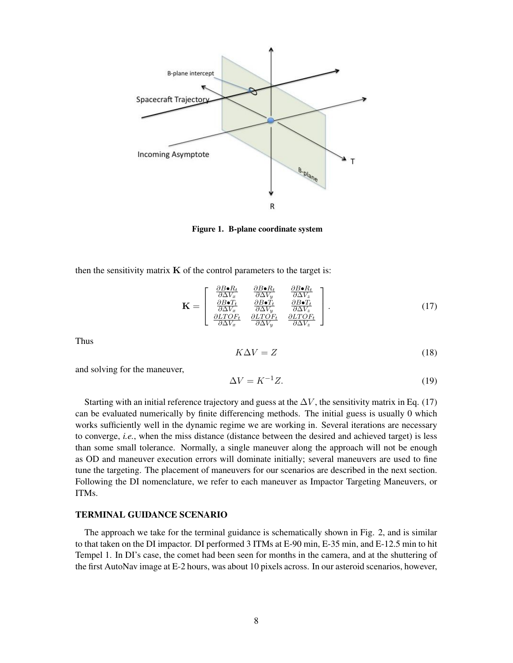

<span id="page-7-0"></span>Figure 1. B-plane coordinate system

then the sensitivity matrix  $K$  of the control parameters to the target is:

<span id="page-7-1"></span>
$$
\mathbf{K} = \begin{bmatrix} \frac{\partial B \bullet R_t}{\partial \Delta V_x} & \frac{\partial B \bullet R_t}{\partial \Delta V_y} & \frac{\partial B \bullet R_t}{\partial \Delta V_z} \\ \frac{\partial B \bullet T_t}{\partial \Delta V_x} & \frac{\partial B \bullet T_t}{\partial \Delta V_y} & \frac{\partial B \bullet T_t}{\partial \Delta V_z} \\ \frac{\partial LTOF_t}{\partial \Delta V_x} & \frac{\partial LTOF_t}{\partial \Delta V_y} & \frac{\partial LTOF_t}{\partial \Delta V_z} \end{bmatrix} . \tag{17}
$$

Thus

$$
K\Delta V = Z \tag{18}
$$

and solving for the maneuver,

$$
\Delta V = K^{-1}Z.\tag{19}
$$

Starting with an initial reference trajectory and guess at the  $\Delta V$ , the sensitivity matrix in Eq. [\(17\)](#page-7-1) can be evaluated numerically by finite differencing methods. The initial guess is usually 0 which works sufficiently well in the dynamic regime we are working in. Several iterations are necessary to converge, *i.e.*, when the miss distance (distance between the desired and achieved target) is less than some small tolerance. Normally, a single maneuver along the approach will not be enough as OD and maneuver execution errors will dominate initially; several maneuvers are used to fine tune the targeting. The placement of maneuvers for our scenarios are described in the next section. Following the DI nomenclature, we refer to each maneuver as Impactor Targeting Maneuvers, or ITMs.

### TERMINAL GUIDANCE SCENARIO

The approach we take for the terminal guidance is schematically shown in Fig. [2,](#page-8-0) and is similar to that taken on the DI impactor. DI performed 3 ITMs at E-90 min, E-35 min, and E-12.5 min to hit Tempel 1. In DI's case, the comet had been seen for months in the camera, and at the shuttering of the first AutoNav image at E-2 hours, was about 10 pixels across. In our asteroid scenarios, however,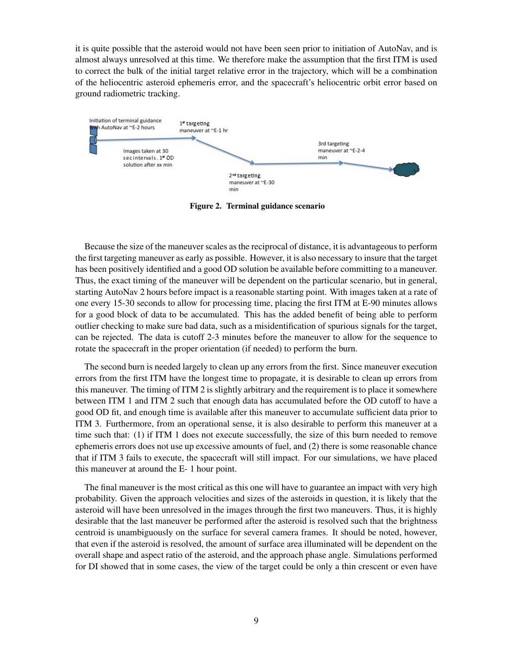it is quite possible that the asteroid would not have been seen prior to initiation of AutoNav, and is almost always unresolved at this time. We therefore make the assumption that the first ITM is used to correct the bulk of the initial target relative error in the trajectory, which will be a combination of the heliocentric asteroid ephemeris error, and the spacecraft's heliocentric orbit error based on ground radiometric tracking.



<span id="page-8-0"></span>Figure 2. Terminal guidance scenario

Because the size of the maneuver scales as the reciprocal of distance, it is advantageous to perform the first targeting maneuver as early as possible. However, it is also necessary to insure that the target has been positively identified and a good OD solution be available before committing to a maneuver. Thus, the exact timing of the maneuver will be dependent on the particular scenario, but in general, starting AutoNav 2 hours before impact is a reasonable starting point. With images taken at a rate of one every 15-30 seconds to allow for processing time, placing the first ITM at E-90 minutes allows for a good block of data to be accumulated. This has the added benefit of being able to perform outlier checking to make sure bad data, such as a misidentification of spurious signals for the target, can be rejected. The data is cutoff 2-3 minutes before the maneuver to allow for the sequence to rotate the spacecraft in the proper orientation (if needed) to perform the burn.

The second burn is needed largely to clean up any errors from the first. Since maneuver execution errors from the first ITM have the longest time to propagate, it is desirable to clean up errors from this maneuver. The timing of ITM 2 is slightly arbitrary and the requirement is to place it somewhere between ITM 1 and ITM 2 such that enough data has accumulated before the OD cutoff to have a good OD fit, and enough time is available after this maneuver to accumulate sufficient data prior to ITM 3. Furthermore, from an operational sense, it is also desirable to perform this maneuver at a time such that: (1) if ITM 1 does not execute successfully, the size of this burn needed to remove ephemeris errors does not use up excessive amounts of fuel, and (2) there is some reasonable chance that if ITM 3 fails to execute, the spacecraft will still impact. For our simulations, we have placed this maneuver at around the E- 1 hour point.

The final maneuver is the most critical as this one will have to guarantee an impact with very high probability. Given the approach velocities and sizes of the asteroids in question, it is likely that the asteroid will have been unresolved in the images through the first two maneuvers. Thus, it is highly desirable that the last maneuver be performed after the asteroid is resolved such that the brightness centroid is unambiguously on the surface for several camera frames. It should be noted, however, that even if the asteroid is resolved, the amount of surface area illuminated will be dependent on the overall shape and aspect ratio of the asteroid, and the approach phase angle. Simulations performed for DI showed that in some cases, the view of the target could be only a thin crescent or even have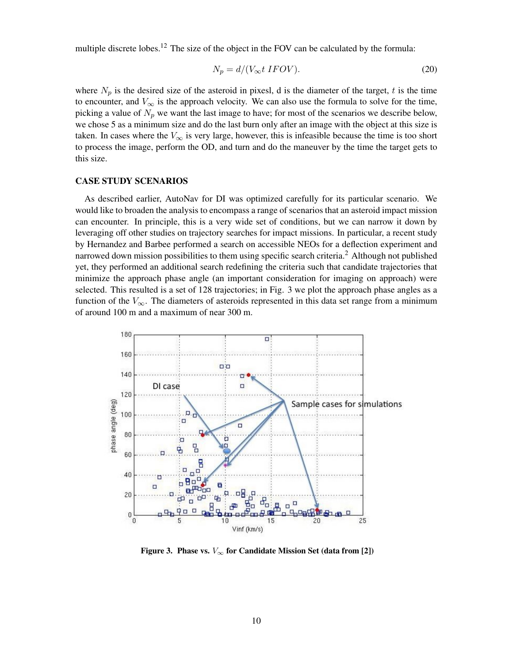multiple discrete lobes.<sup>[12](#page-17-1)</sup> The size of the object in the FOV can be calculated by the formula:

$$
N_p = d/(V_{\infty}t \ IFOV). \tag{20}
$$

where  $N_p$  is the desired size of the asteroid in pixesl, d is the diameter of the target, t is the time to encounter, and  $V_{\infty}$  is the approach velocity. We can also use the formula to solve for the time, picking a value of  $N_p$  we want the last image to have; for most of the scenarios we describe below, we chose 5 as a minimum size and do the last burn only after an image with the object at this size is taken. In cases where the  $V_{\infty}$  is very large, however, this is infeasible because the time is too short to process the image, perform the OD, and turn and do the maneuver by the time the target gets to this size.

### CASE STUDY SCENARIOS

As described earlier, AutoNav for DI was optimized carefully for its particular scenario. We would like to broaden the analysis to encompass a range of scenarios that an asteroid impact mission can encounter. In principle, this is a very wide set of conditions, but we can narrow it down by leveraging off other studies on trajectory searches for impact missions. In particular, a recent study by Hernandez and Barbee performed a search on accessible NEOs for a deflection experiment and narrowed down mission possibilities to them using specific search criteria.<sup>[2](#page-16-1)</sup> Although not published yet, they performed an additional search redefining the criteria such that candidate trajectories that minimize the approach phase angle (an important consideration for imaging on approach) were selected. This resulted is a set of 128 trajectories; in Fig. [3](#page-9-0) we plot the approach phase angles as a function of the  $V_{\infty}$ . The diameters of asteroids represented in this data set range from a minimum of around 100 m and a maximum of near 300 m.



<span id="page-9-0"></span>Figure 3. Phase vs.  $V_{\infty}$  for Candidate Mission Set (data from [\[2\]](#page-16-1))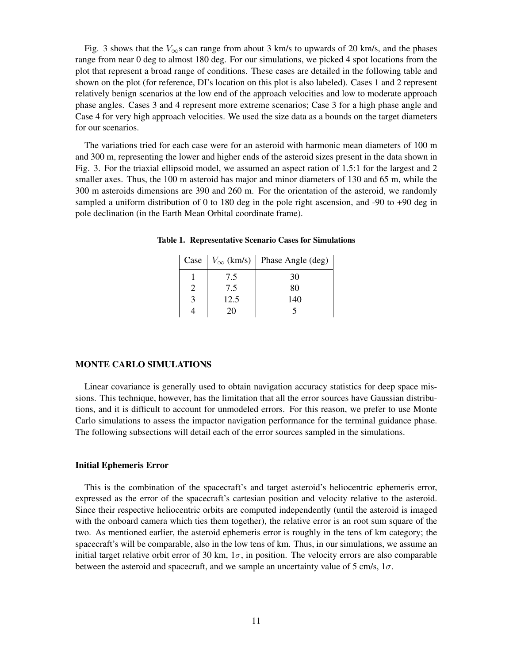Fig. [3](#page-9-0) shows that the  $V_{\infty}$ s can range from about 3 km/s to upwards of 20 km/s, and the phases range from near 0 deg to almost 180 deg. For our simulations, we picked 4 spot locations from the plot that represent a broad range of conditions. These cases are detailed in the following table and shown on the plot (for reference, DI's location on this plot is also labeled). Cases 1 and 2 represent relatively benign scenarios at the low end of the approach velocities and low to moderate approach phase angles. Cases 3 and 4 represent more extreme scenarios; Case 3 for a high phase angle and Case 4 for very high approach velocities. We used the size data as a bounds on the target diameters for our scenarios.

The variations tried for each case were for an asteroid with harmonic mean diameters of 100 m and 300 m, representing the lower and higher ends of the asteroid sizes present in the data shown in Fig. [3.](#page-9-0) For the triaxial ellipsoid model, we assumed an aspect ration of 1.5:1 for the largest and 2 smaller axes. Thus, the 100 m asteroid has major and minor diameters of 130 and 65 m, while the 300 m asteroids dimensions are 390 and 260 m. For the orientation of the asteroid, we randomly sampled a uniform distribution of 0 to 180 deg in the pole right ascension, and -90 to +90 deg in pole declination (in the Earth Mean Orbital coordinate frame).

|  |      | Case $ V_{\infty}$ (km/s)   Phase Angle (deg) |
|--|------|-----------------------------------------------|
|  | 7.5  | 30                                            |
|  | 7.5  | 80                                            |
|  | 12.5 | 140                                           |
|  | 20   |                                               |

Table 1. Representative Scenario Cases for Simulations

#### MONTE CARLO SIMULATIONS

Linear covariance is generally used to obtain navigation accuracy statistics for deep space missions. This technique, however, has the limitation that all the error sources have Gaussian distributions, and it is difficult to account for unmodeled errors. For this reason, we prefer to use Monte Carlo simulations to assess the impactor navigation performance for the terminal guidance phase. The following subsections will detail each of the error sources sampled in the simulations.

### Initial Ephemeris Error

This is the combination of the spacecraft's and target asteroid's heliocentric ephemeris error, expressed as the error of the spacecraft's cartesian position and velocity relative to the asteroid. Since their respective heliocentric orbits are computed independently (until the asteroid is imaged with the onboard camera which ties them together), the relative error is an root sum square of the two. As mentioned earlier, the asteroid ephemeris error is roughly in the tens of km category; the spacecraft's will be comparable, also in the low tens of km. Thus, in our simulations, we assume an initial target relative orbit error of 30 km,  $1\sigma$ , in position. The velocity errors are also comparable between the asteroid and spacecraft, and we sample an uncertainty value of 5 cm/s,  $1\sigma$ .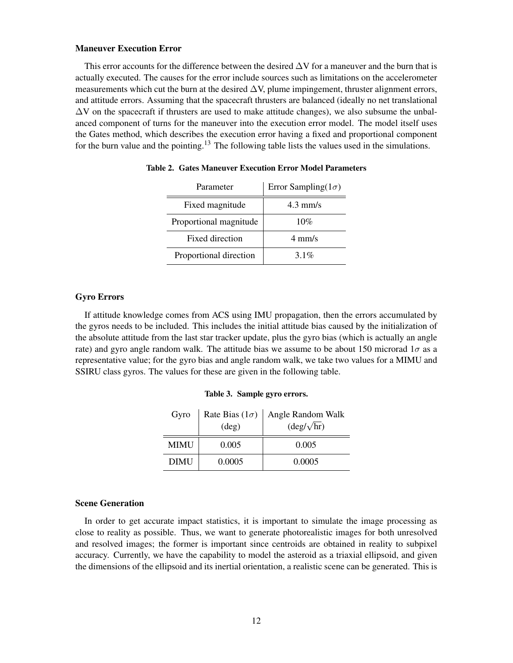#### Maneuver Execution Error

This error accounts for the difference between the desired  $\Delta V$  for a maneuver and the burn that is actually executed. The causes for the error include sources such as limitations on the accelerometer measurements which cut the burn at the desired  $\Delta V$ , plume impingement, thruster alignment errors, and attitude errors. Assuming that the spacecraft thrusters are balanced (ideally no net translational  $\Delta V$  on the spacecraft if thrusters are used to make attitude changes), we also subsume the unbalanced component of turns for the maneuver into the execution error model. The model itself uses the Gates method, which describes the execution error having a fixed and proportional component for the burn value and the pointing.<sup>[13](#page-17-2)</sup> The following table lists the values used in the simulations.

| Parameter              | Error Sampling( $1\sigma$ ) |  |
|------------------------|-----------------------------|--|
| Fixed magnitude        | $4.3$ mm/s                  |  |
| Proportional magnitude | 10%                         |  |
| Fixed direction        | $4 \text{ mm/s}$            |  |
| Proportional direction | $3.1\%$                     |  |

<span id="page-11-1"></span>Table 2. Gates Maneuver Execution Error Model Parameters

#### Gyro Errors

<span id="page-11-0"></span>If attitude knowledge comes from ACS using IMU propagation, then the errors accumulated by the gyros needs to be included. This includes the initial attitude bias caused by the initialization of the absolute attitude from the last star tracker update, plus the gyro bias (which is actually an angle rate) and gyro angle random walk. The attitude bias we assume to be about 150 microrad  $1\sigma$  as a representative value; for the gyro bias and angle random walk, we take two values for a MIMU and SSIRU class gyros. The values for these are given in the following table.

| Gyro        |                | Rate Bias ( $1\sigma$ )   Angle Random Walk |  |
|-------------|----------------|---------------------------------------------|--|
|             | $(\text{deg})$ | $(\text{deg}/\sqrt{\text{hr}})$             |  |
| <b>MIMU</b> | 0.005          | 0.005                                       |  |
| <b>DIMU</b> | 0.0005         | 0.0005                                      |  |

Table 3. Sample gyro errors.

# Scene Generation

In order to get accurate impact statistics, it is important to simulate the image processing as close to reality as possible. Thus, we want to generate photorealistic images for both unresolved and resolved images; the former is important since centroids are obtained in reality to subpixel accuracy. Currently, we have the capability to model the asteroid as a triaxial ellipsoid, and given the dimensions of the ellipsoid and its inertial orientation, a realistic scene can be generated. This is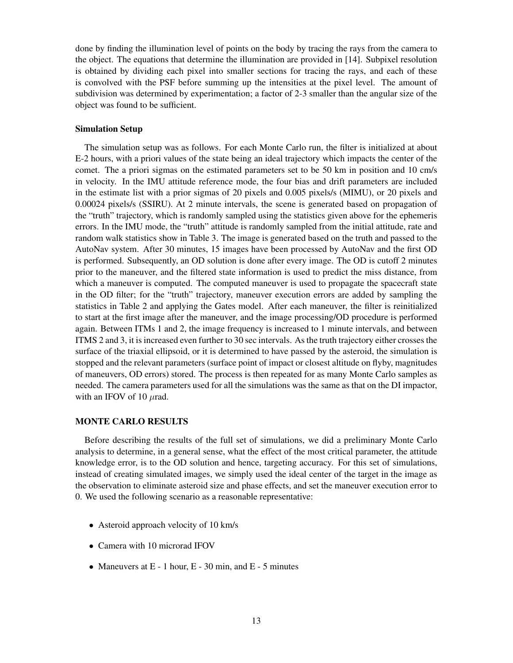done by finding the illumination level of points on the body by tracing the rays from the camera to the object. The equations that determine the illumination are provided in [\[14\]](#page-17-3). Subpixel resolution is obtained by dividing each pixel into smaller sections for tracing the rays, and each of these is convolved with the PSF before summing up the intensities at the pixel level. The amount of subdivision was determined by experimentation; a factor of 2-3 smaller than the angular size of the object was found to be sufficient.

# Simulation Setup

The simulation setup was as follows. For each Monte Carlo run, the filter is initialized at about E-2 hours, with a priori values of the state being an ideal trajectory which impacts the center of the comet. The a priori sigmas on the estimated parameters set to be 50 km in position and 10 cm/s in velocity. In the IMU attitude reference mode, the four bias and drift parameters are included in the estimate list with a prior sigmas of 20 pixels and 0.005 pixels/s (MIMU), or 20 pixels and 0.00024 pixels/s (SSIRU). At 2 minute intervals, the scene is generated based on propagation of the "truth" trajectory, which is randomly sampled using the statistics given above for the ephemeris errors. In the IMU mode, the "truth" attitude is randomly sampled from the initial attitude, rate and random walk statistics show in Table [3.](#page-11-0) The image is generated based on the truth and passed to the AutoNav system. After 30 minutes, 15 images have been processed by AutoNav and the first OD is performed. Subsequently, an OD solution is done after every image. The OD is cutoff 2 minutes prior to the maneuver, and the filtered state information is used to predict the miss distance, from which a maneuver is computed. The computed maneuver is used to propagate the spacecraft state in the OD filter; for the "truth" trajectory, maneuver execution errors are added by sampling the statistics in Table [2](#page-11-1) and applying the Gates model. After each maneuver, the filter is reinitialized to start at the first image after the maneuver, and the image processing/OD procedure is performed again. Between ITMs 1 and 2, the image frequency is increased to 1 minute intervals, and between ITMS 2 and 3, it is increased even further to 30 sec intervals. As the truth trajectory either crosses the surface of the triaxial ellipsoid, or it is determined to have passed by the asteroid, the simulation is stopped and the relevant parameters (surface point of impact or closest altitude on flyby, magnitudes of maneuvers, OD errors) stored. The process is then repeated for as many Monte Carlo samples as needed. The camera parameters used for all the simulations was the same as that on the DI impactor, with an IFOV of 10  $\mu$ rad.

# MONTE CARLO RESULTS

Before describing the results of the full set of simulations, we did a preliminary Monte Carlo analysis to determine, in a general sense, what the effect of the most critical parameter, the attitude knowledge error, is to the OD solution and hence, targeting accuracy. For this set of simulations, instead of creating simulated images, we simply used the ideal center of the target in the image as the observation to eliminate asteroid size and phase effects, and set the maneuver execution error to 0. We used the following scenario as a reasonable representative:

- Asteroid approach velocity of 10 km/s
- Camera with 10 microrad IFOV
- Maneuvers at  $E 1$  hour,  $E 30$  min, and  $E 5$  minutes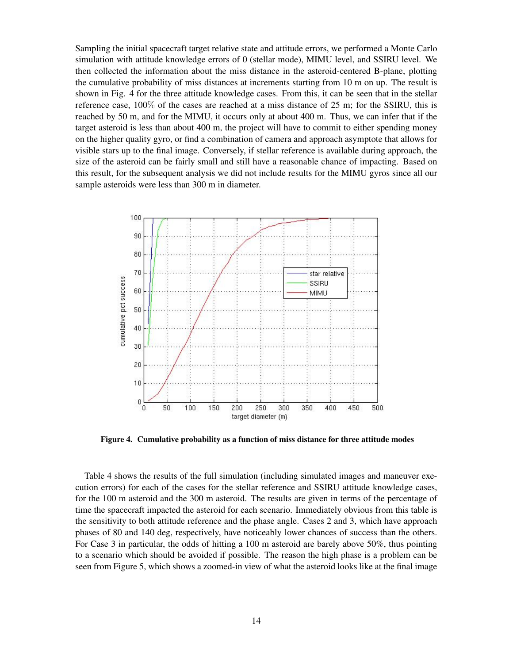Sampling the initial spacecraft target relative state and attitude errors, we performed a Monte Carlo simulation with attitude knowledge errors of 0 (stellar mode), MIMU level, and SSIRU level. We then collected the information about the miss distance in the asteroid-centered B-plane, plotting the cumulative probability of miss distances at increments starting from 10 m on up. The result is shown in Fig. [4](#page-13-0) for the three attitude knowledge cases. From this, it can be seen that in the stellar reference case, 100% of the cases are reached at a miss distance of 25 m; for the SSIRU, this is reached by 50 m, and for the MIMU, it occurs only at about 400 m. Thus, we can infer that if the target asteroid is less than about 400 m, the project will have to commit to either spending money on the higher quality gyro, or find a combination of camera and approach asymptote that allows for visible stars up to the final image. Conversely, if stellar reference is available during approach, the size of the asteroid can be fairly small and still have a reasonable chance of impacting. Based on this result, for the subsequent analysis we did not include results for the MIMU gyros since all our sample asteroids were less than 300 m in diameter.



<span id="page-13-0"></span>Figure 4. Cumulative probability as a function of miss distance for three attitude modes

Table [4](#page-14-0) shows the results of the full simulation (including simulated images and maneuver execution errors) for each of the cases for the stellar reference and SSIRU attitude knowledge cases, for the 100 m asteroid and the 300 m asteroid. The results are given in terms of the percentage of time the spacecraft impacted the asteroid for each scenario. Immediately obvious from this table is the sensitivity to both attitude reference and the phase angle. Cases 2 and 3, which have approach phases of 80 and 140 deg, respectively, have noticeably lower chances of success than the others. For Case 3 in particular, the odds of hitting a 100 m asteroid are barely above 50%, thus pointing to a scenario which should be avoided if possible. The reason the high phase is a problem can be seen from Figure [5,](#page-15-0) which shows a zoomed-in view of what the asteroid looks like at the final image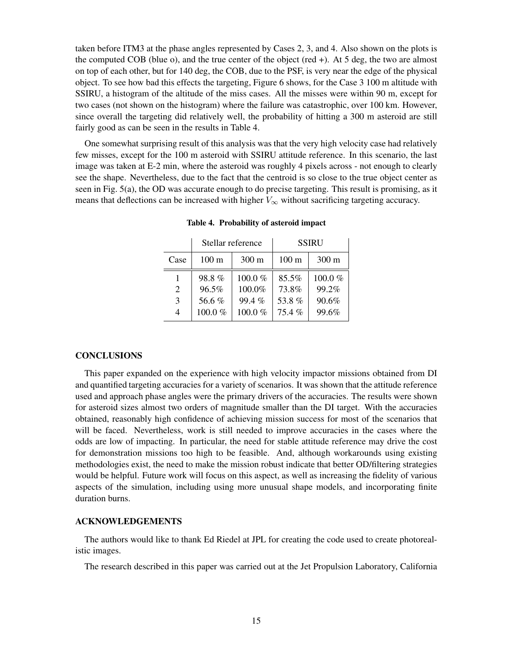taken before ITM3 at the phase angles represented by Cases 2, 3, and 4. Also shown on the plots is the computed COB (blue  $o$ ), and the true center of the object (red  $+$ ). At 5 deg, the two are almost on top of each other, but for 140 deg, the COB, due to the PSF, is very near the edge of the physical object. To see how bad this effects the targeting, Figure [6](#page-16-10) shows, for the Case 3 100 m altitude with SSIRU, a histogram of the altitude of the miss cases. All the misses were within 90 m, except for two cases (not shown on the histogram) where the failure was catastrophic, over 100 km. However, since overall the targeting did relatively well, the probability of hitting a 300 m asteroid are still fairly good as can be seen in the results in Table [4.](#page-14-0)

<span id="page-14-0"></span>One somewhat surprising result of this analysis was that the very high velocity case had relatively few misses, except for the 100 m asteroid with SSIRU attitude reference. In this scenario, the last image was taken at E-2 min, where the asteroid was roughly 4 pixels across - not enough to clearly see the shape. Nevertheless, due to the fact that the centroid is so close to the true object center as seen in Fig. [5\(a\),](#page-15-1) the OD was accurate enough to do precise targeting. This result is promising, as it means that deflections can be increased with higher  $V_{\infty}$  without sacrificing targeting accuracy.

|      | Stellar reference |                 | <b>SSIRU</b>    |                 |
|------|-------------------|-----------------|-----------------|-----------------|
| Case | $100 \text{ m}$   | $300 \text{ m}$ | $100 \text{ m}$ | $300 \text{ m}$ |
|      | 98.8%             | $100.0 \%$      | 85.5%           | 100.0 $%$       |
| 2    | 96.5%             | 100.0%          | 73.8%           | 99.2%           |
| 3    | 56.6%             | 99.4%           | 53.8%           | 90.6%           |
| 4    | 100.0%            | 100.0%          | 75.4%           | 99.6%           |
|      |                   |                 |                 |                 |

Table 4. Probability of asteroid impact

# **CONCLUSIONS**

This paper expanded on the experience with high velocity impactor missions obtained from DI and quantified targeting accuracies for a variety of scenarios. It was shown that the attitude reference used and approach phase angles were the primary drivers of the accuracies. The results were shown for asteroid sizes almost two orders of magnitude smaller than the DI target. With the accuracies obtained, reasonably high confidence of achieving mission success for most of the scenarios that will be faced. Nevertheless, work is still needed to improve accuracies in the cases where the odds are low of impacting. In particular, the need for stable attitude reference may drive the cost for demonstration missions too high to be feasible. And, although workarounds using existing methodologies exist, the need to make the mission robust indicate that better OD/filtering strategies would be helpful. Future work will focus on this aspect, as well as increasing the fidelity of various aspects of the simulation, including using more unusual shape models, and incorporating finite duration burns.

# ACKNOWLEDGEMENTS

The authors would like to thank Ed Riedel at JPL for creating the code used to create photorealistic images.

The research described in this paper was carried out at the Jet Propulsion Laboratory, California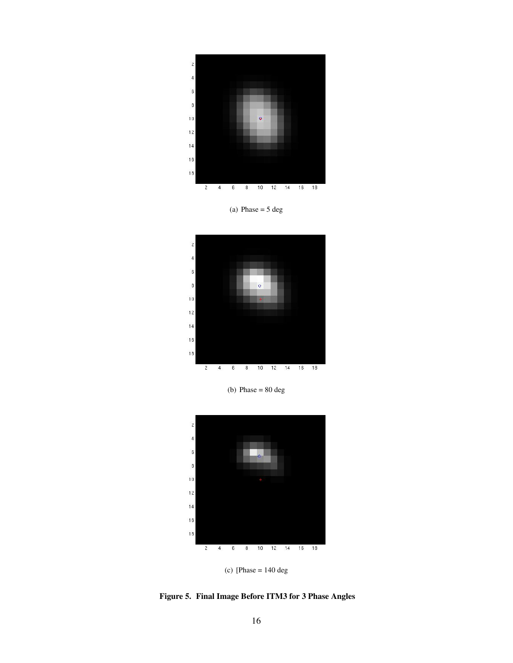<span id="page-15-1"></span>

(a) Phase  $= 5 \text{ deg}$ 



(b) Phase  $= 80 \text{ deg}$ 



(c) [Phase =  $140 \text{ deg}$ 

<span id="page-15-0"></span>Figure 5. Final Image Before ITM3 for 3 Phase Angles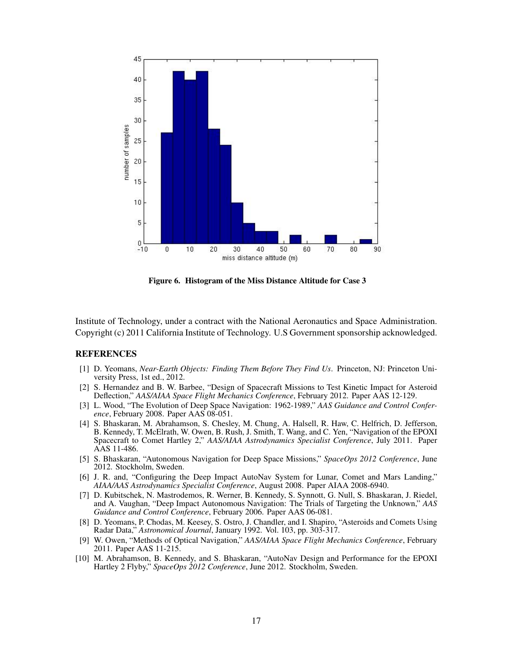

<span id="page-16-10"></span>Figure 6. Histogram of the Miss Distance Altitude for Case 3

Institute of Technology, under a contract with the National Aeronautics and Space Administration. Copyright (c) 2011 California Institute of Technology. U.S Government sponsorship acknowledged.

# **REFERENCES**

- <span id="page-16-0"></span>[1] D. Yeomans, *Near-Earth Objects: Finding Them Before They Find Us*. Princeton, NJ: Princeton University Press, 1st ed., 2012.
- <span id="page-16-1"></span>[2] S. Hernandez and B. W. Barbee, "Design of Spacecraft Missions to Test Kinetic Impact for Asteroid Deflection," *AAS/AIAA Space Flight Mechanics Conference*, February 2012. Paper AAS 12-129.
- <span id="page-16-2"></span>[3] L. Wood, "The Evolution of Deep Space Navigation: 1962-1989," *AAS Guidance and Control Conference*, February 2008. Paper AAS 08-051.
- <span id="page-16-3"></span>[4] S. Bhaskaran, M. Abrahamson, S. Chesley, M. Chung, A. Halsell, R. Haw, C. Helfrich, D. Jefferson, B. Kennedy, T. McElrath, W. Owen, B. Rush, J. Smith, T. Wang, and C. Yen, "Navigation of the EPOXI Spacecraft to Comet Hartley 2," *AAS/AIAA Astrodynamics Specialist Conference*, July 2011. Paper AAS 11-486.
- <span id="page-16-4"></span>[5] S. Bhaskaran, "Autonomous Navigation for Deep Space Missions," *SpaceOps 2012 Conference*, June 2012. Stockholm, Sweden.
- <span id="page-16-5"></span>[6] J. R. and, "Configuring the Deep Impact AutoNav System for Lunar, Comet and Mars Landing," *AIAA/AAS Astrodynamics Specialist Conference*, August 2008. Paper AIAA 2008-6940.
- <span id="page-16-6"></span>[7] D. Kubitschek, N. Mastrodemos, R. Werner, B. Kennedy, S. Synnott, G. Null, S. Bhaskaran, J. Riedel, and A. Vaughan, "Deep Impact Autonomous Navigation: The Trials of Targeting the Unknown," *AAS Guidance and Control Conference*, February 2006. Paper AAS 06-081.
- <span id="page-16-7"></span>[8] D. Yeomans, P. Chodas, M. Keesey, S. Ostro, J. Chandler, and I. Shapiro, "Asteroids and Comets Using Radar Data," *Astronomical Journal*, January 1992. Vol. 103, pp. 303-317.
- <span id="page-16-8"></span>[9] W. Owen, "Methods of Optical Navigation," *AAS/AIAA Space Flight Mechanics Conference*, February 2011. Paper AAS 11-215.
- <span id="page-16-9"></span>[10] M. Abrahamson, B. Kennedy, and S. Bhaskaran, "AutoNav Design and Performance for the EPOXI Hartley 2 Flyby," *SpaceOps 2012 Conference*, June 2012. Stockholm, Sweden.